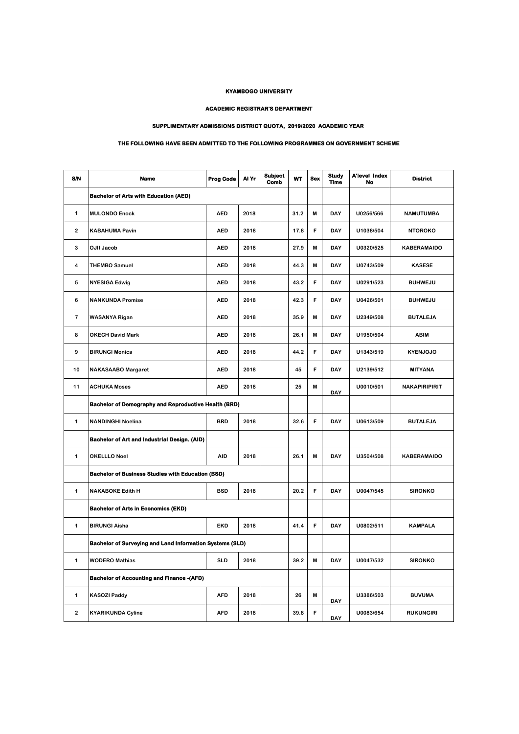## **KYAMBOGO UNIVERSITY**

## **ACADEMIC REGISTRAR'S DEPARTMENT**

## **SUPPLIMENTARY ADMISSIONS DISTRICT QUOTA, 2019/2020 ACADEMIC YEAR**

## **THE FOLLOWING HAVE BEEN ADMITTED TO THE FOLLOWING PROGRAMMES ON GOVERNMENT SCHEME**

| S/N            | Name                                                            | <b>Prog Code</b> | Al Yr | <b>Subject</b><br>Comb | WT   | <b>Sex</b> | Study<br><b>Time</b> | <b>A'level Index</b><br><b>No</b> | <b>District</b>      |
|----------------|-----------------------------------------------------------------|------------------|-------|------------------------|------|------------|----------------------|-----------------------------------|----------------------|
|                | <b>Bachelor of Arts with Education (AED)</b>                    |                  |       |                        |      |            |                      |                                   |                      |
| 1              | <b>MULONDO Enock</b>                                            | <b>AED</b>       | 2018  |                        | 31.2 | M          | DAY                  | U0256/566                         | <b>NAMUTUMBA</b>     |
| $\overline{2}$ | <b>KABAHUMA Pavin</b>                                           | <b>AED</b>       | 2018  |                        | 17.8 | F          | DAY                  | U1038/504                         | <b>NTOROKO</b>       |
| 3              | <b>OJII Jacob</b>                                               | <b>AED</b>       | 2018  |                        | 27.9 | M          | DAY                  | U0320/525                         | KABERAMAIDO          |
| 4              | <b>THEMBO Samuel</b>                                            | <b>AED</b>       | 2018  |                        | 44.3 | M          | DAY                  | U0743/509                         | <b>KASESE</b>        |
| 5              | <b>NYESIGA Edwig</b>                                            | <b>AED</b>       | 2018  |                        | 43.2 | F          | DAY                  | U0291/523                         | <b>BUHWEJU</b>       |
| 6              | <b>NANKUNDA Promise</b>                                         | <b>AED</b>       | 2018  |                        | 42.3 | F          | DAY                  | U0426/501                         | <b>BUHWEJU</b>       |
| $\overline{7}$ | <b>WASANYA Rigan</b>                                            | <b>AED</b>       | 2018  |                        | 35.9 | M          | DAY                  | U2349/508                         | <b>BUTALEJA</b>      |
| 8              | <b>OKECH David Mark</b>                                         | <b>AED</b>       | 2018  |                        | 26.1 | M          | DAY                  | U1950/504                         | <b>ABIM</b>          |
| 9              | <b>BIRUNGI Monica</b>                                           | <b>AED</b>       | 2018  |                        | 44.2 | F          | DAY                  | U1343/519                         | <b>KYENJOJO</b>      |
| 10             | <b>NAKASAABO Margaret</b>                                       | <b>AED</b>       | 2018  |                        | 45   | F          | DAY                  | U2139/512                         | <b>MITYANA</b>       |
| 11             | <b>ACHUKA Moses</b>                                             | <b>AED</b>       | 2018  |                        | 25   | M          | <b>DAY</b>           | U0010/501                         | <b>NAKAPIRIPIRIT</b> |
|                | <b>Bachelor of Demography and Reproductive Health (BRD)</b>     |                  |       |                        |      |            |                      |                                   |                      |
| 1              | <b>NANDINGHI Noelina</b>                                        | <b>BRD</b>       | 2018  |                        | 32.6 | F          | <b>DAY</b>           | U0613/509                         | <b>BUTALEJA</b>      |
|                | Bachelor of Art and Industrial Design. (AID)                    |                  |       |                        |      |            |                      |                                   |                      |
| 1              | <b>OKELLLO Noel</b>                                             | AID              | 2018  |                        | 26.1 | M          | <b>DAY</b>           | U3504/508                         | <b>KABERAMAIDO</b>   |
|                | <b>Bachelor of Business Studies with Education (BSD)</b>        |                  |       |                        |      |            |                      |                                   |                      |
| 1              | <b>NAKABOKE Edith H</b>                                         | <b>BSD</b>       | 2018  |                        | 20.2 | F          | DAY                  | U0047/545                         | <b>SIRONKO</b>       |
|                | <b>Bachelor of Arts in Economics (EKD)</b>                      |                  |       |                        |      |            |                      |                                   |                      |
| 1              | <b>BIRUNGI Aisha</b>                                            | EKD              | 2018  |                        | 41.4 | F          | DAY                  | U0802/511                         | <b>KAMPALA</b>       |
|                | <b>Bachelor of Surveying and Land Information Systems (SLD)</b> |                  |       |                        |      |            |                      |                                   |                      |
| $\mathbf 1$    | <b>WODERO Mathias</b>                                           | <b>SLD</b>       | 2018  |                        | 39.2 | M          | DAY                  | U0047/532                         | <b>SIRONKO</b>       |
|                | <b>Bachelor of Accounting and Finance -(AFD)</b>                |                  |       |                        |      |            |                      |                                   |                      |
| 1              | <b>KASOZI Paddy</b>                                             | <b>AFD</b>       | 2018  |                        | 26   | M          | DAY                  | U3386/503                         | <b>BUVUMA</b>        |
| $\overline{2}$ | <b>KYARIKUNDA Cyline</b>                                        | <b>AFD</b>       | 2018  |                        | 39.8 | F          | DAY                  | U0083/654                         | <b>RUKUNGIRI</b>     |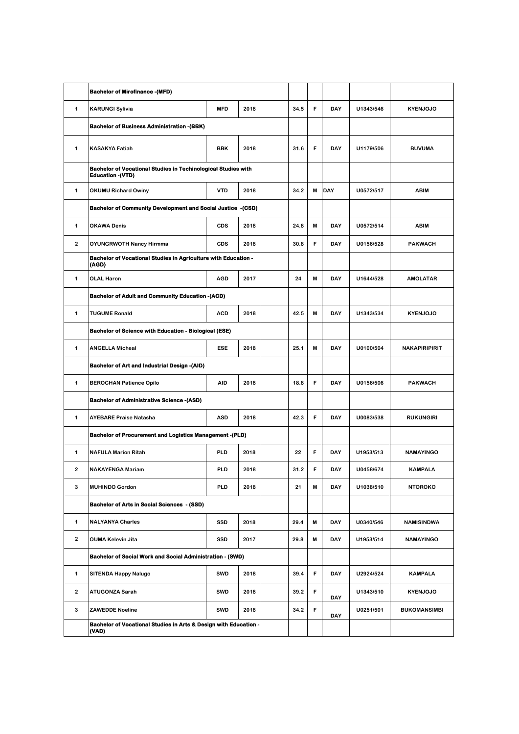|   | <b>Bachelor of Mirofinance -(MFD)</b>                                                            |            |      |  |      |   |            |           |                      |
|---|--------------------------------------------------------------------------------------------------|------------|------|--|------|---|------------|-----------|----------------------|
| 1 | <b>KARUNGI Sylivia</b>                                                                           | <b>MFD</b> | 2018 |  | 34.5 | F | DAY        | U1343/546 | <b>KYENJOJO</b>      |
|   | <b>Bachelor of Business Administration - (BBK)</b>                                               |            |      |  |      |   |            |           |                      |
| 1 | <b>KASAKYA Fatiah</b>                                                                            | <b>BBK</b> | 2018 |  | 31.6 | F | DAY        | U1179/506 | <b>BUVUMA</b>        |
|   | <b>Bachelor of Vocational Studies in Techinological Studies with</b><br><b>Education - (VTD)</b> |            |      |  |      |   |            |           |                      |
| 1 | <b>OKUMU Richard Owiny</b>                                                                       | <b>VTD</b> | 2018 |  | 34.2 | M | DAY        | U0572/517 | <b>ABIM</b>          |
|   | <b>Bachelor of Community Development and Social Justice -(CSD)</b>                               |            |      |  |      |   |            |           |                      |
| 1 | <b>OKAWA Denis</b>                                                                               | <b>CDS</b> | 2018 |  | 24.8 | M | DAY        | U0572/514 | <b>ABIM</b>          |
| 2 | <b>OYUNGRWOTH Nancy Hirmma</b>                                                                   | <b>CDS</b> | 2018 |  | 30.8 | F | DAY        | U0156/528 | <b>PAKWACH</b>       |
|   | Bachelor of Vocational Studies in Agriculture with Education -<br>(AGD)                          |            |      |  |      |   |            |           |                      |
| 1 | <b>OLAL Haron</b>                                                                                | <b>AGD</b> | 2017 |  | 24   | M | DAY        | U1644/528 | <b>AMOLATAR</b>      |
|   | <b>Bachelor of Adult and Community Education -(ACD)</b>                                          |            |      |  |      |   |            |           |                      |
| 1 | <b>TUGUME Ronald</b>                                                                             | <b>ACD</b> | 2018 |  | 42.5 | M | <b>DAY</b> | U1343/534 | <b>KYENJOJO</b>      |
|   | <b>Bachelor of Science with Education - Biological (ESE)</b>                                     |            |      |  |      |   |            |           |                      |
| 1 | <b>ANGELLA Micheal</b>                                                                           | <b>ESE</b> | 2018 |  | 25.1 | M | DAY        | U0100/504 | <b>NAKAPIRIPIRIT</b> |
|   | <b>Bachelor of Art and Industrial Design -(AID)</b>                                              |            |      |  |      |   |            |           |                      |
| 1 | <b>BEROCHAN Patience Opilo</b>                                                                   | <b>AID</b> | 2018 |  | 18.8 | F | DAY        | U0156/506 | <b>PAKWACH</b>       |
|   | <b>Bachelor of Administrative Science -(ASD)</b>                                                 |            |      |  |      |   |            |           |                      |
| 1 | <b>AYEBARE Praise Natasha</b>                                                                    | <b>ASD</b> | 2018 |  | 42.3 | F | DAY        | U0083/538 | <b>RUKUNGIRI</b>     |
|   | <b>Bachelor of Procurement and Logistics Management -(PLD)</b>                                   |            |      |  |      |   |            |           |                      |
| 1 | <b>NAFULA Marion Ritah</b>                                                                       | <b>PLD</b> | 2018 |  | 22   | F | DAY        | U1953/513 | <b>NAMAYINGO</b>     |
| 2 | <b>NAKAYENGA Mariam</b>                                                                          | <b>PLD</b> | 2018 |  | 31.2 | F | DAY        | U0458/674 | <b>KAMPALA</b>       |
| 3 | <b>MUHINDO Gordon</b>                                                                            | <b>PLD</b> | 2018 |  | 21   | M | <b>DAY</b> | U1038/510 | <b>NTOROKO</b>       |
|   | Bachelor of Arts in Social Sciences - (SSD)                                                      |            |      |  |      |   |            |           |                      |
| 1 | <b>NALYANYA Charles</b>                                                                          | SSD        | 2018 |  | 29.4 | M | DAY        | U0340/546 | <b>NAMISINDWA</b>    |
| 2 | <b>OUMA Kelevin Jita</b>                                                                         | SSD        | 2017 |  | 29.8 | M | DAY        | U1953/514 | <b>NAMAYINGO</b>     |
|   | Bachelor of Social Work and Social Administration - (SWD)                                        |            |      |  |      |   |            |           |                      |
| 1 | <b>SITENDA Happy Nalugo</b>                                                                      | <b>SWD</b> | 2018 |  | 39.4 | F | DAY        | U2924/524 | <b>KAMPALA</b>       |
| 2 | <b>ATUGONZA Sarah</b>                                                                            | <b>SWD</b> | 2018 |  | 39.2 | F | DAY        | U1343/510 | <b>KYENJOJO</b>      |
| 3 | <b>ZAWEDDE Noeline</b>                                                                           | <b>SWD</b> | 2018 |  | 34.2 | F | DAY        | U0251/501 | <b>BUKOMANSIMBI</b>  |
|   | Bachelor of Vocational Studies in Arts & Design with Education -<br>(VAD)                        |            |      |  |      |   |            |           |                      |